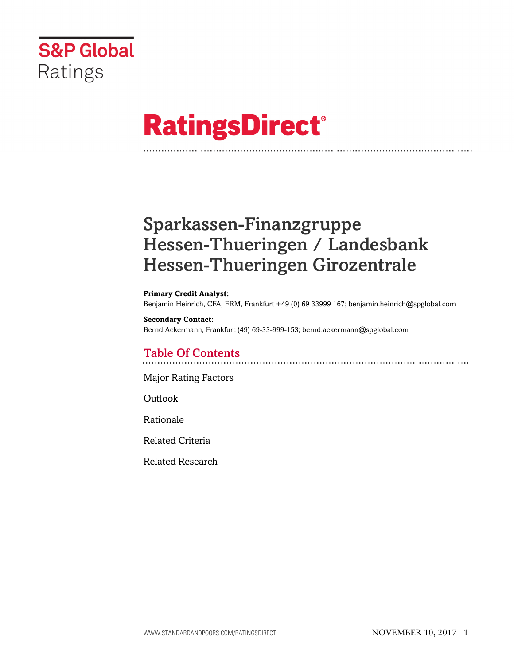

# **RatingsDirect®**

## Sparkassen-Finanzgruppe Hessen-Thueringen / Landesbank Hessen-Thueringen Girozentrale

**Primary Credit Analyst:** Benjamin Heinrich, CFA, FRM, Frankfurt +49 (0) 69 33999 167; benjamin.heinrich@spglobal.com

#### **Secondary Contact:**

Bernd Ackermann, Frankfurt (49) 69-33-999-153; bernd.ackermann@spglobal.com

## Table Of Contents

[Major Rating Factors](#page-1-0)

Outlook

[Rationale](#page-2-0)

[Related Criteria](#page-12-0)

[Related Research](#page-13-0)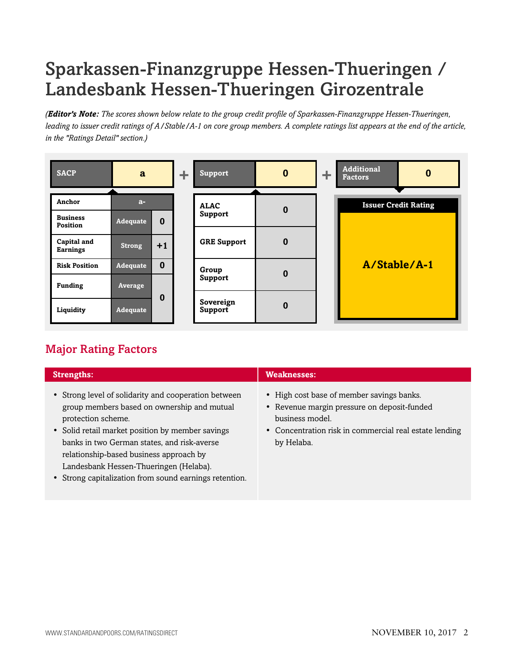## Sparkassen-Finanzgruppe Hessen-Thueringen / Landesbank Hessen-Thueringen Girozentrale

*(Editor's Note: The scores shown below relate to the group credit profile of Sparkassen-Finanzgruppe Hessen-Thueringen, leading to issuer credit ratings of A/Stable/A-1 on core group members. A complete ratings list appears at the end of the article, in the "Ratings Detail" section.)*

| <b>SACP</b>                    | a              |          |  |                        |          |  | ÷. | <b>Support</b>              | $\bf{0}$ | ÷ | Additional<br><b>Factors</b> | 0 |
|--------------------------------|----------------|----------|--|------------------------|----------|--|----|-----------------------------|----------|---|------------------------------|---|
| Anchor                         | $a-$           |          |  |                        |          |  |    | <b>Issuer Credit Rating</b> |          |   |                              |   |
| <b>Business</b><br>Position    | Adequate       | $\bf{0}$ |  | <b>ALAC</b><br>Support | $\bf{0}$ |  |    |                             |          |   |                              |   |
| Capital and<br><b>Earnings</b> | <b>Strong</b>  | $+1$     |  | <b>GRE Support</b>     | $\bf{0}$ |  |    |                             |          |   |                              |   |
| <b>Risk Position</b>           | Adequate       | $\bf{0}$ |  | Group                  |          |  |    | A/Stable/A-1                |          |   |                              |   |
| <b>Funding</b>                 | <b>Average</b> |          |  | <b>Support</b>         | $\bf{0}$ |  |    |                             |          |   |                              |   |
| Liquidity                      | Adequate       | $\bf{0}$ |  | Sovereign<br>Support   | $\bf{0}$ |  |    |                             |          |   |                              |   |

## <span id="page-1-0"></span>Major Rating Factors

| <b>Strengths:</b>                                                                                                                                                                                                                                                                                                                                                           | <b>Weaknesses:</b>                                                                                                                                                                  |
|-----------------------------------------------------------------------------------------------------------------------------------------------------------------------------------------------------------------------------------------------------------------------------------------------------------------------------------------------------------------------------|-------------------------------------------------------------------------------------------------------------------------------------------------------------------------------------|
| • Strong level of solidarity and cooperation between<br>group members based on ownership and mutual<br>protection scheme.<br>• Solid retail market position by member savings<br>banks in two German states, and risk-averse<br>relationship-based business approach by<br>Landesbank Hessen-Thueringen (Helaba).<br>• Strong capitalization from sound earnings retention. | • High cost base of member savings banks.<br>• Revenue margin pressure on deposit-funded<br>business model.<br>• Concentration risk in commercial real estate lending<br>by Helaba. |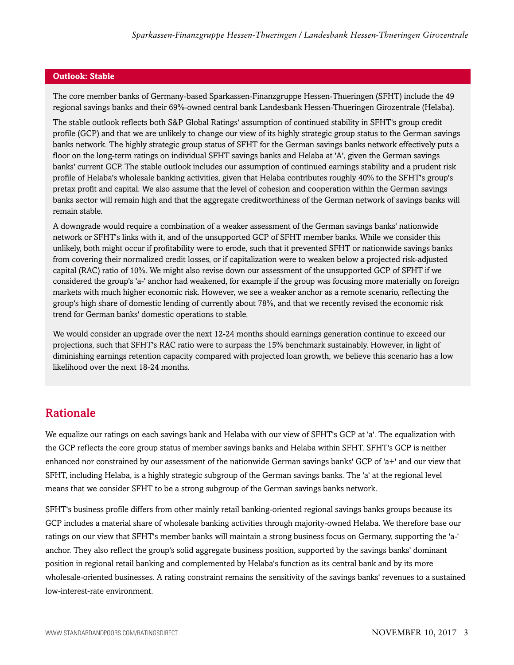#### **Outlook: Stable**

The core member banks of Germany-based Sparkassen-Finanzgruppe Hessen-Thueringen (SFHT) include the 49 regional savings banks and their 69%-owned central bank Landesbank Hessen-Thueringen Girozentrale (Helaba).

The stable outlook reflects both S&P Global Ratings' assumption of continued stability in SFHT's group credit profile (GCP) and that we are unlikely to change our view of its highly strategic group status to the German savings banks network. The highly strategic group status of SFHT for the German savings banks network effectively puts a floor on the long-term ratings on individual SFHT savings banks and Helaba at 'A', given the German savings banks' current GCP. The stable outlook includes our assumption of continued earnings stability and a prudent risk profile of Helaba's wholesale banking activities, given that Helaba contributes roughly 40% to the SFHT's group's pretax profit and capital. We also assume that the level of cohesion and cooperation within the German savings banks sector will remain high and that the aggregate creditworthiness of the German network of savings banks will remain stable.

A downgrade would require a combination of a weaker assessment of the German savings banks' nationwide network or SFHT's links with it, and of the unsupported GCP of SFHT member banks. While we consider this unlikely, both might occur if profitability were to erode, such that it prevented SFHT or nationwide savings banks from covering their normalized credit losses, or if capitalization were to weaken below a projected risk-adjusted capital (RAC) ratio of 10%. We might also revise down our assessment of the unsupported GCP of SFHT if we considered the group's 'a-' anchor had weakened, for example if the group was focusing more materially on foreign markets with much higher economic risk. However, we see a weaker anchor as a remote scenario, reflecting the group's high share of domestic lending of currently about 78%, and that we recently revised the economic risk trend for German banks' domestic operations to stable.

We would consider an upgrade over the next 12-24 months should earnings generation continue to exceed our projections, such that SFHT's RAC ratio were to surpass the 15% benchmark sustainably. However, in light of diminishing earnings retention capacity compared with projected loan growth, we believe this scenario has a low likelihood over the next 18-24 months.

### <span id="page-2-0"></span>Rationale

We equalize our ratings on each savings bank and Helaba with our view of SFHT's GCP at 'a'. The equalization with the GCP reflects the core group status of member savings banks and Helaba within SFHT. SFHT's GCP is neither enhanced nor constrained by our assessment of the nationwide German savings banks' GCP of 'a+' and our view that SFHT, including Helaba, is a highly strategic subgroup of the German savings banks. The 'a' at the regional level means that we consider SFHT to be a strong subgroup of the German savings banks network.

SFHT's business profile differs from other mainly retail banking-oriented regional savings banks groups because its GCP includes a material share of wholesale banking activities through majority-owned Helaba. We therefore base our ratings on our view that SFHT's member banks will maintain a strong business focus on Germany, supporting the 'a-' anchor. They also reflect the group's solid aggregate business position, supported by the savings banks' dominant position in regional retail banking and complemented by Helaba's function as its central bank and by its more wholesale-oriented businesses. A rating constraint remains the sensitivity of the savings banks' revenues to a sustained low-interest-rate environment.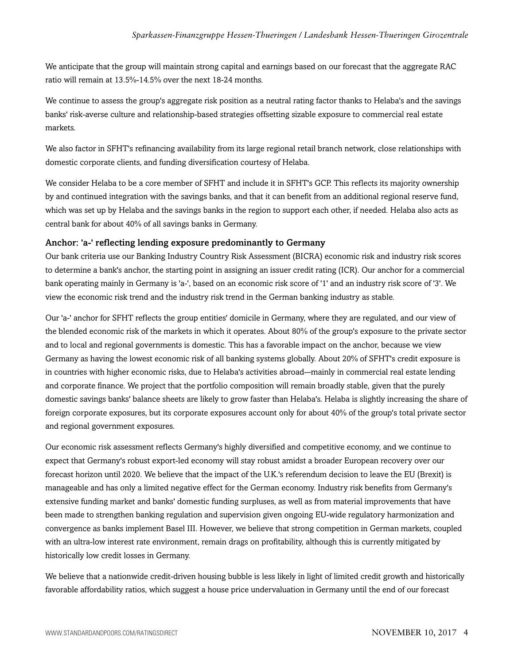We anticipate that the group will maintain strong capital and earnings based on our forecast that the aggregate RAC ratio will remain at 13.5%-14.5% over the next 18-24 months.

We continue to assess the group's aggregate risk position as a neutral rating factor thanks to Helaba's and the savings banks' risk-averse culture and relationship-based strategies offsetting sizable exposure to commercial real estate markets.

We also factor in SFHT's refinancing availability from its large regional retail branch network, close relationships with domestic corporate clients, and funding diversification courtesy of Helaba.

We consider Helaba to be a core member of SFHT and include it in SFHT's GCP. This reflects its majority ownership by and continued integration with the savings banks, and that it can benefit from an additional regional reserve fund, which was set up by Helaba and the savings banks in the region to support each other, if needed. Helaba also acts as central bank for about 40% of all savings banks in Germany.

#### Anchor: 'a-' reflecting lending exposure predominantly to Germany

Our bank criteria use our Banking Industry Country Risk Assessment (BICRA) economic risk and industry risk scores to determine a bank's anchor, the starting point in assigning an issuer credit rating (ICR). Our anchor for a commercial bank operating mainly in Germany is 'a-', based on an economic risk score of '1' and an industry risk score of '3'. We view the economic risk trend and the industry risk trend in the German banking industry as stable.

Our 'a-' anchor for SFHT reflects the group entities' domicile in Germany, where they are regulated, and our view of the blended economic risk of the markets in which it operates. About 80% of the group's exposure to the private sector and to local and regional governments is domestic. This has a favorable impact on the anchor, because we view Germany as having the lowest economic risk of all banking systems globally. About 20% of SFHT's credit exposure is in countries with higher economic risks, due to Helaba's activities abroad-–mainly in commercial real estate lending and corporate finance. We project that the portfolio composition will remain broadly stable, given that the purely domestic savings banks' balance sheets are likely to grow faster than Helaba's. Helaba is slightly increasing the share of foreign corporate exposures, but its corporate exposures account only for about 40% of the group's total private sector and regional government exposures.

Our economic risk assessment reflects Germany's highly diversified and competitive economy, and we continue to expect that Germany's robust export-led economy will stay robust amidst a broader European recovery over our forecast horizon until 2020. We believe that the impact of the U.K.'s referendum decision to leave the EU (Brexit) is manageable and has only a limited negative effect for the German economy. Industry risk benefits from Germany's extensive funding market and banks' domestic funding surpluses, as well as from material improvements that have been made to strengthen banking regulation and supervision given ongoing EU-wide regulatory harmonization and convergence as banks implement Basel III. However, we believe that strong competition in German markets, coupled with an ultra-low interest rate environment, remain drags on profitability, although this is currently mitigated by historically low credit losses in Germany.

We believe that a nationwide credit-driven housing bubble is less likely in light of limited credit growth and historically favorable affordability ratios, which suggest a house price undervaluation in Germany until the end of our forecast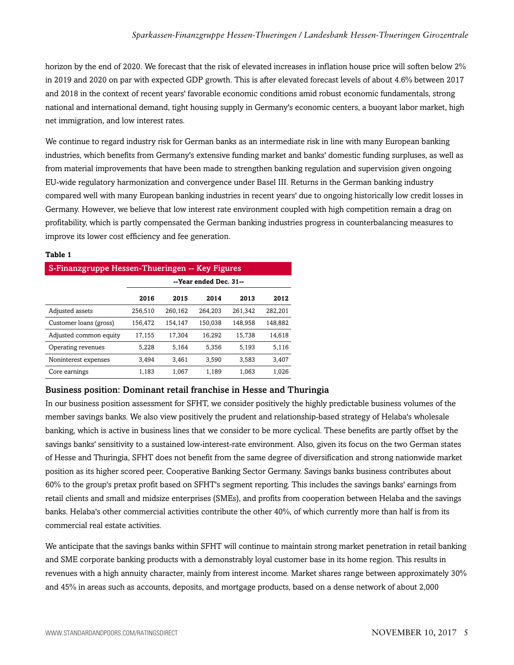horizon by the end of 2020. We forecast that the risk of elevated increases in inflation house price will soften below 2% in 2019 and 2020 on par with expected GDP growth. This is after elevated forecast levels of about 4.6% between 2017 and 2018 in the context of recent years' favorable economic conditions amid robust economic fundamentals, strong national and international demand, tight housing supply in Germany's economic centers, a buoyant labor market, high net immigration, and low interest rates.

We continue to regard industry risk for German banks as an intermediate risk in line with many European banking industries, which benefits from Germany's extensive funding market and banks' domestic funding surpluses, as well as from material improvements that have been made to strengthen banking regulation and supervision given ongoing EU-wide regulatory harmonization and convergence under Basel III. Returns in the German banking industry compared well with many European banking industries in recent years' due to ongoing historically low credit losses in Germany. However, we believe that low interest rate environment coupled with high competition remain a drag on profitability, which is partly compensated the German banking industries progress in counterbalancing measures to improve its lower cost efficiency and fee generation.

| S-Finanzgruppe Hessen-Thueringen -- Key Figures |                        |         |         |         |         |  |  |  |  |
|-------------------------------------------------|------------------------|---------|---------|---------|---------|--|--|--|--|
|                                                 | --Year ended Dec. 31-- |         |         |         |         |  |  |  |  |
|                                                 | 2016                   | 2015    | 2014    | 2013    | 2012    |  |  |  |  |
| Adjusted assets                                 | 256,510                | 260.162 | 264.203 | 261.342 | 282.201 |  |  |  |  |
| Customer loans (gross)                          | 156,472                | 154,147 | 150,038 | 148,958 | 148,882 |  |  |  |  |
| Adjusted common equity                          | 17,155                 | 17,304  | 16.292  | 15,738  | 14,618  |  |  |  |  |
| Operating revenues                              | 5.228                  | 5.164   | 5.356   | 5.193   | 5,116   |  |  |  |  |
| Noninterest expenses                            | 3.494                  | 3.461   | 3.590   | 3.583   | 3.407   |  |  |  |  |
| Core earnings                                   | 1.183                  | 1.067   | 1.189   | 1.063   | 1.026   |  |  |  |  |

#### **Table 1**

#### Business position: Dominant retail franchise in Hesse and Thuringia

In our business position assessment for SFHT, we consider positively the highly predictable business volumes of the member savings banks. We also view positively the prudent and relationship-based strategy of Helaba's wholesale banking, which is active in business lines that we consider to be more cyclical. These benefits are partly offset by the savings banks' sensitivity to a sustained low-interest-rate environment. Also, given its focus on the two German states of Hesse and Thuringia, SFHT does not benefit from the same degree of diversification and strong nationwide market position as its higher scored peer, Cooperative Banking Sector Germany. Savings banks business contributes about 60% to the group's pretax profit based on SFHT's segment reporting. This includes the savings banks' earnings from retail clients and small and midsize enterprises (SMEs), and profits from cooperation between Helaba and the savings banks. Helaba's other commercial activities contribute the other 40%, of which currently more than half is from its commercial real estate activities.

We anticipate that the savings banks within SFHT will continue to maintain strong market penetration in retail banking and SME corporate banking products with a demonstrably loyal customer base in its home region. This results in revenues with a high annuity character, mainly from interest income. Market shares range between approximately 30% and 45% in areas such as accounts, deposits, and mortgage products, based on a dense network of about 2,000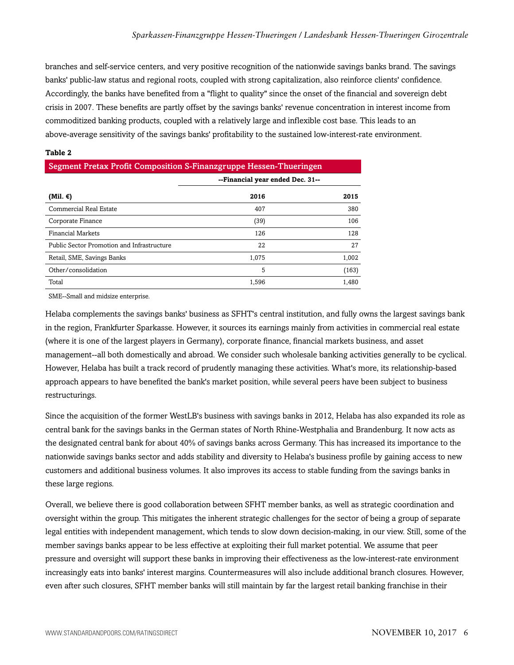branches and self-service centers, and very positive recognition of the nationwide savings banks brand. The savings banks' public-law status and regional roots, coupled with strong capitalization, also reinforce clients' confidence. Accordingly, the banks have benefited from a "flight to quality" since the onset of the financial and sovereign debt crisis in 2007. These benefits are partly offset by the savings banks' revenue concentration in interest income from commoditized banking products, coupled with a relatively large and inflexible cost base. This leads to an above-average sensitivity of the savings banks' profitability to the sustained low-interest-rate environment.

| Segment Pretax Profit Composition S-Finanzgruppe Hessen-Thueringen |                                  |       |  |  |  |  |
|--------------------------------------------------------------------|----------------------------------|-------|--|--|--|--|
|                                                                    | --Financial year ended Dec. 31-- |       |  |  |  |  |
| (Mil. €)                                                           | 2016                             | 2015  |  |  |  |  |
| Commercial Real Estate                                             | 407                              | 380   |  |  |  |  |
| Corporate Finance                                                  | (39)                             | 106   |  |  |  |  |
| <b>Financial Markets</b>                                           | 126                              | 128   |  |  |  |  |
| Public Sector Promotion and Infrastructure                         | 22                               | 27    |  |  |  |  |
| Retail, SME, Savings Banks                                         | 1.075                            | 1,002 |  |  |  |  |
| Other/consolidation                                                | 5                                | (163) |  |  |  |  |
| Total                                                              | 1.596                            | 1.480 |  |  |  |  |

#### **Table 2**

SME--Small and midsize enterprise.

Helaba complements the savings banks' business as SFHT's central institution, and fully owns the largest savings bank in the region, Frankfurter Sparkasse. However, it sources its earnings mainly from activities in commercial real estate (where it is one of the largest players in Germany), corporate finance, financial markets business, and asset management--all both domestically and abroad. We consider such wholesale banking activities generally to be cyclical. However, Helaba has built a track record of prudently managing these activities. What's more, its relationship-based approach appears to have benefited the bank's market position, while several peers have been subject to business restructurings.

Since the acquisition of the former WestLB's business with savings banks in 2012, Helaba has also expanded its role as central bank for the savings banks in the German states of North Rhine-Westphalia and Brandenburg. It now acts as the designated central bank for about 40% of savings banks across Germany. This has increased its importance to the nationwide savings banks sector and adds stability and diversity to Helaba's business profile by gaining access to new customers and additional business volumes. It also improves its access to stable funding from the savings banks in these large regions.

Overall, we believe there is good collaboration between SFHT member banks, as well as strategic coordination and oversight within the group. This mitigates the inherent strategic challenges for the sector of being a group of separate legal entities with independent management, which tends to slow down decision-making, in our view. Still, some of the member savings banks appear to be less effective at exploiting their full market potential. We assume that peer pressure and oversight will support these banks in improving their effectiveness as the low-interest-rate environment increasingly eats into banks' interest margins. Countermeasures will also include additional branch closures. However, even after such closures, SFHT member banks will still maintain by far the largest retail banking franchise in their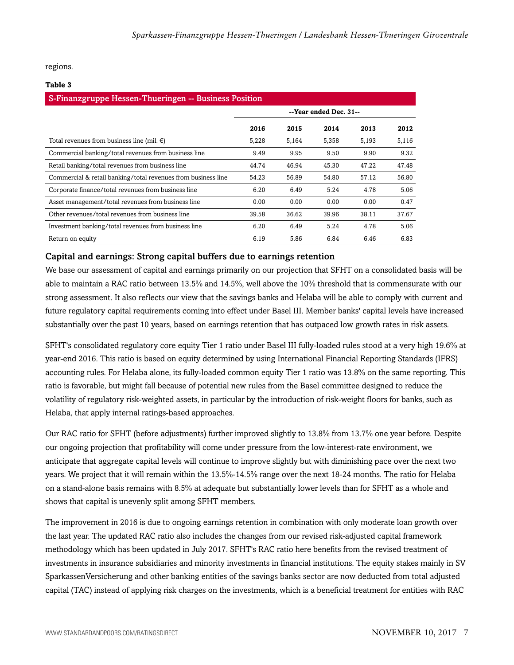regions.

#### **Table 3**

| S-Finanzgruppe Hessen-Thueringen -- Business Position         |                        |       |       |       |       |  |  |  |
|---------------------------------------------------------------|------------------------|-------|-------|-------|-------|--|--|--|
|                                                               | --Year ended Dec. 31-- |       |       |       |       |  |  |  |
|                                                               | 2016                   | 2015  | 2014  | 2013  | 2012  |  |  |  |
| Total revenues from business line (mil. $\epsilon$ )          | 5,228                  | 5,164 | 5,358 | 5.193 | 5,116 |  |  |  |
| Commercial banking/total revenues from business line          | 9.49                   | 9.95  | 9.50  | 9.90  | 9.32  |  |  |  |
| Retail banking/total revenues from business line              | 44.74                  | 46.94 | 45.30 | 47.22 | 47.48 |  |  |  |
| Commercial & retail banking/total revenues from business line | 54.23                  | 56.89 | 54.80 | 57.12 | 56.80 |  |  |  |
| Corporate finance/total revenues from business line           | 6.20                   | 6.49  | 5.24  | 4.78  | 5.06  |  |  |  |
| Asset management/total revenues from business line            | 0.00                   | 0.00  | 0.00  | 0.00  | 0.47  |  |  |  |
| Other revenues/total revenues from business line              | 39.58                  | 36.62 | 39.96 | 38.11 | 37.67 |  |  |  |
| Investment banking/total revenues from business line          | 6.20                   | 6.49  | 5.24  | 4.78  | 5.06  |  |  |  |
| Return on equity                                              | 6.19                   | 5.86  | 6.84  | 6.46  | 6.83  |  |  |  |

#### Capital and earnings: Strong capital buffers due to earnings retention

We base our assessment of capital and earnings primarily on our projection that SFHT on a consolidated basis will be able to maintain a RAC ratio between 13.5% and 14.5%, well above the 10% threshold that is commensurate with our strong assessment. It also reflects our view that the savings banks and Helaba will be able to comply with current and future regulatory capital requirements coming into effect under Basel III. Member banks' capital levels have increased substantially over the past 10 years, based on earnings retention that has outpaced low growth rates in risk assets.

SFHT's consolidated regulatory core equity Tier 1 ratio under Basel III fully-loaded rules stood at a very high 19.6% at year-end 2016. This ratio is based on equity determined by using International Financial Reporting Standards (IFRS) accounting rules. For Helaba alone, its fully-loaded common equity Tier 1 ratio was 13.8% on the same reporting. This ratio is favorable, but might fall because of potential new rules from the Basel committee designed to reduce the volatility of regulatory risk-weighted assets, in particular by the introduction of risk-weight floors for banks, such as Helaba, that apply internal ratings-based approaches.

Our RAC ratio for SFHT (before adjustments) further improved slightly to 13.8% from 13.7% one year before. Despite our ongoing projection that profitability will come under pressure from the low-interest-rate environment, we anticipate that aggregate capital levels will continue to improve slightly but with diminishing pace over the next two years. We project that it will remain within the 13.5%-14.5% range over the next 18-24 months. The ratio for Helaba on a stand-alone basis remains with 8.5% at adequate but substantially lower levels than for SFHT as a whole and shows that capital is unevenly split among SFHT members.

The improvement in 2016 is due to ongoing earnings retention in combination with only moderate loan growth over the last year. The updated RAC ratio also includes the changes from our revised risk-adjusted capital framework methodology which has been updated in July 2017. SFHT's RAC ratio here benefits from the revised treatment of investments in insurance subsidiaries and minority investments in financial institutions. The equity stakes mainly in SV SparkassenVersicherung and other banking entities of the savings banks sector are now deducted from total adjusted capital (TAC) instead of applying risk charges on the investments, which is a beneficial treatment for entities with RAC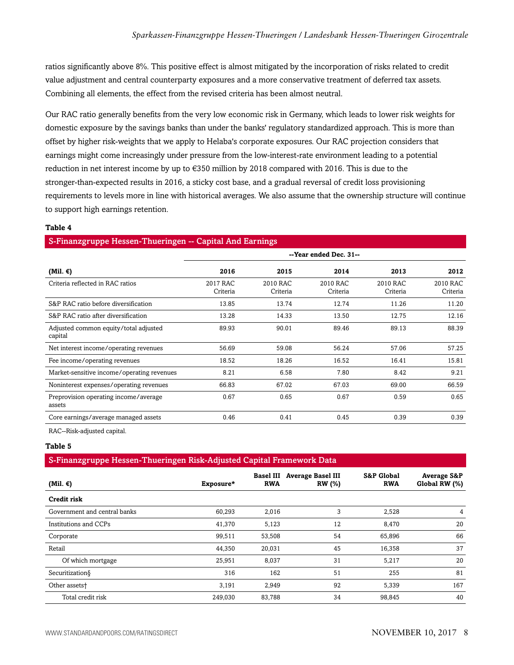ratios significantly above 8%. This positive effect is almost mitigated by the incorporation of risks related to credit value adjustment and central counterparty exposures and a more conservative treatment of deferred tax assets. Combining all elements, the effect from the revised criteria has been almost neutral.

Our RAC ratio generally benefits from the very low economic risk in Germany, which leads to lower risk weights for domestic exposure by the savings banks than under the banks' regulatory standardized approach. This is more than offset by higher risk-weights that we apply to Helaba's corporate exposures. Our RAC projection considers that earnings might come increasingly under pressure from the low-interest-rate environment leading to a potential reduction in net interest income by up to €350 million by 2018 compared with 2016. This is due to the stronger-than-expected results in 2016, a sticky cost base, and a gradual reversal of credit loss provisioning requirements to levels more in line with historical averages. We also assume that the ownership structure will continue to support high earnings retention.

#### **Table 4**

#### S-Finanzgruppe Hessen-Thueringen -- Capital And Earnings

|                                                  | --Year ended Dec. 31-- |                      |                      |                      |                      |  |  |
|--------------------------------------------------|------------------------|----------------------|----------------------|----------------------|----------------------|--|--|
| (Mil. €)                                         | 2016                   | 2015                 | 2014                 | 2013                 | 2012                 |  |  |
| Criteria reflected in RAC ratios                 | 2017 RAC<br>Criteria   | 2010 RAC<br>Criteria | 2010 RAC<br>Criteria | 2010 RAC<br>Criteria | 2010 RAC<br>Criteria |  |  |
| S&P RAC ratio before diversification             | 13.85                  | 13.74                | 12.74                | 11.26                | 11.20                |  |  |
| S&P RAC ratio after diversification              | 13.28                  | 14.33                | 13.50                | 12.75                | 12.16                |  |  |
| Adjusted common equity/total adjusted<br>capital | 89.93                  | 90.01                | 89.46                | 89.13                | 88.39                |  |  |
| Net interest income/operating revenues           | 56.69                  | 59.08                | 56.24                | 57.06                | 57.25                |  |  |
| Fee income/operating revenues                    | 18.52                  | 18.26                | 16.52                | 16.41                | 15.81                |  |  |
| Market-sensitive income/operating revenues       | 8.21                   | 6.58                 | 7.80                 | 8.42                 | 9.21                 |  |  |
| Noninterest expenses/operating revenues          | 66.83                  | 67.02                | 67.03                | 69.00                | 66.59                |  |  |
| Preprovision operating income/average<br>assets  | 0.67                   | 0.65                 | 0.67                 | 0.59                 | 0.65                 |  |  |
| Core earnings/average managed assets             | 0.46                   | 0.41                 | 0.45                 | 0.39                 | 0.39                 |  |  |

RAC--Risk-adjusted capital.

#### **Table 5**

#### S-Finanzgruppe Hessen-Thueringen Risk-Adjusted Capital Framework Data

| (Mil. $\epsilon$ )           | Exposure* | <b>Basel III</b><br><b>RWA</b> | <b>Average Basel III</b><br><b>RW</b> (%) | <b>S&amp;P Global</b><br><b>RWA</b> | <b>Average S&amp;P</b><br>Global RW (%) |
|------------------------------|-----------|--------------------------------|-------------------------------------------|-------------------------------------|-----------------------------------------|
| Credit risk                  |           |                                |                                           |                                     |                                         |
| Government and central banks | 60,293    | 2,016                          | 3                                         | 2,528                               | 4                                       |
| Institutions and CCPs        | 41,370    | 5,123                          | 12                                        | 8,470                               | 20                                      |
| Corporate                    | 99,511    | 53,508                         | 54                                        | 65,896                              | 66                                      |
| Retail                       | 44,350    | 20,031                         | 45                                        | 16,358                              | 37                                      |
| Of which mortgage            | 25,951    | 8,037                          | 31                                        | 5,217                               | 20                                      |
| Securitization§              | 316       | 162                            | 51                                        | 255                                 | 81                                      |
| Other assets <sup>+</sup>    | 3,191     | 2,949                          | 92                                        | 5,339                               | 167                                     |
| Total credit risk            | 249,030   | 83,788                         | 34                                        | 98,845                              | 40                                      |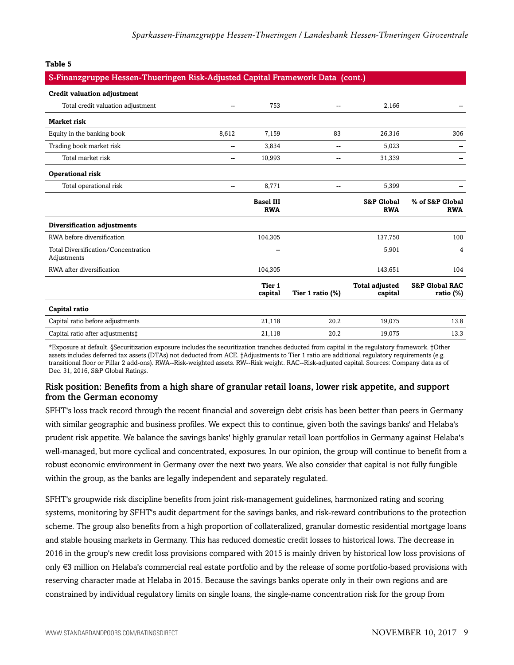#### **Table 5**

#### S-Finanzgruppe Hessen-Thueringen Risk-Adjusted Capital Framework Data (cont.)

| <b>Credit valuation adjustment</b>                 |                          |                                |                     |                                     |                                           |
|----------------------------------------------------|--------------------------|--------------------------------|---------------------|-------------------------------------|-------------------------------------------|
| Total credit valuation adjustment                  | --                       | 753                            | --                  | 2,166                               |                                           |
| <b>Market risk</b>                                 |                          |                                |                     |                                     |                                           |
| Equity in the banking book                         | 8,612                    | 7,159                          | 83                  | 26,316                              | 306                                       |
| Trading book market risk                           | $\overline{\phantom{a}}$ | 3,834                          | --                  | 5,023                               |                                           |
| Total market risk                                  | $\overline{\phantom{a}}$ | 10,993                         | --                  | 31,339                              |                                           |
| <b>Operational risk</b>                            |                          |                                |                     |                                     |                                           |
| Total operational risk                             | --                       | 8,771                          | $-$                 | 5,399                               |                                           |
|                                                    |                          | <b>Basel III</b><br><b>RWA</b> |                     | <b>S&amp;P Global</b><br><b>RWA</b> | % of S&P Global<br><b>RWA</b>             |
| Diversification adjustments                        |                          |                                |                     |                                     |                                           |
| RWA before diversification                         |                          | 104,305                        |                     | 137,750                             | 100                                       |
| Total Diversification/Concentration<br>Adjustments |                          | $\sim$                         |                     | 5,901                               | 4                                         |
| RWA after diversification                          |                          | 104,305                        |                     | 143,651                             | 104                                       |
|                                                    |                          | Tier 1<br>capital              | Tier 1 ratio $(\%)$ | <b>Total adjusted</b><br>capital    | <b>S&amp;P Global RAC</b><br>ratio $(\%)$ |
| Capital ratio                                      |                          |                                |                     |                                     |                                           |
| Capital ratio before adjustments                   |                          | 21,118                         | 20.2                | 19,075                              | 13.8                                      |
| Capital ratio after adjustments‡                   |                          | 21,118                         | 20.2                | 19,075                              | 13.3                                      |

\*Exposure at default. §Securitization exposure includes the securitization tranches deducted from capital in the regulatory framework. †Other assets includes deferred tax assets (DTAs) not deducted from ACE. ‡Adjustments to Tier 1 ratio are additional regulatory requirements (e.g. transitional floor or Pillar 2 add-ons). RWA--Risk-weighted assets. RW--Risk weight. RAC--Risk-adjusted capital. Sources: Company data as of Dec. 31, 2016, S&P Global Ratings.

#### Risk position: Benefits from a high share of granular retail loans, lower risk appetite, and support from the German economy

SFHT's loss track record through the recent financial and sovereign debt crisis has been better than peers in Germany with similar geographic and business profiles. We expect this to continue, given both the savings banks' and Helaba's prudent risk appetite. We balance the savings banks' highly granular retail loan portfolios in Germany against Helaba's well-managed, but more cyclical and concentrated, exposures. In our opinion, the group will continue to benefit from a robust economic environment in Germany over the next two years. We also consider that capital is not fully fungible within the group, as the banks are legally independent and separately regulated.

SFHT's groupwide risk discipline benefits from joint risk-management guidelines, harmonized rating and scoring systems, monitoring by SFHT's audit department for the savings banks, and risk-reward contributions to the protection scheme. The group also benefits from a high proportion of collateralized, granular domestic residential mortgage loans and stable housing markets in Germany. This has reduced domestic credit losses to historical lows. The decrease in 2016 in the group's new credit loss provisions compared with 2015 is mainly driven by historical low loss provisions of only €3 million on Helaba's commercial real estate portfolio and by the release of some portfolio-based provisions with reserving character made at Helaba in 2015. Because the savings banks operate only in their own regions and are constrained by individual regulatory limits on single loans, the single-name concentration risk for the group from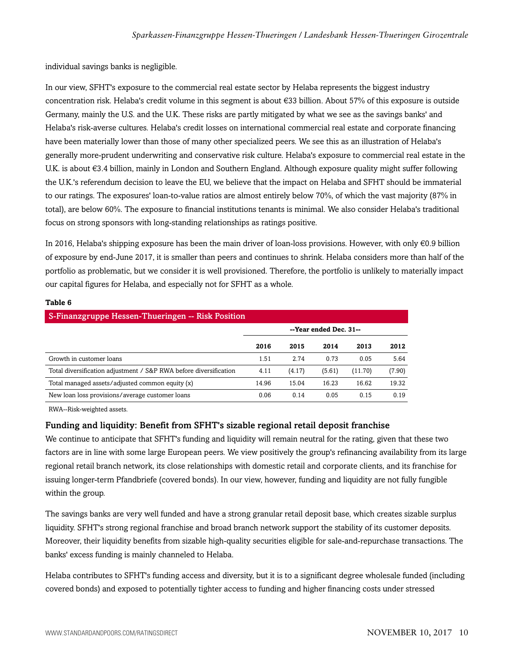individual savings banks is negligible.

In our view, SFHT's exposure to the commercial real estate sector by Helaba represents the biggest industry concentration risk. Helaba's credit volume in this segment is about €33 billion. About 57% of this exposure is outside Germany, mainly the U.S. and the U.K. These risks are partly mitigated by what we see as the savings banks' and Helaba's risk-averse cultures. Helaba's credit losses on international commercial real estate and corporate financing have been materially lower than those of many other specialized peers. We see this as an illustration of Helaba's generally more-prudent underwriting and conservative risk culture. Helaba's exposure to commercial real estate in the U.K. is about €3.4 billion, mainly in London and Southern England. Although exposure quality might suffer following the U.K.'s referendum decision to leave the EU, we believe that the impact on Helaba and SFHT should be immaterial to our ratings. The exposures' loan-to-value ratios are almost entirely below 70%, of which the vast majority (87% in total), are below 60%. The exposure to financial institutions tenants is minimal. We also consider Helaba's traditional focus on strong sponsors with long-standing relationships as ratings positive.

In 2016, Helaba's shipping exposure has been the main driver of loan-loss provisions. However, with only €0.9 billion of exposure by end-June 2017, it is smaller than peers and continues to shrink. Helaba considers more than half of the portfolio as problematic, but we consider it is well provisioned. Therefore, the portfolio is unlikely to materially impact our capital figures for Helaba, and especially not for SFHT as a whole.

| S-Finanzgruppe Hessen-Thueringen -- Risk Position                 |                        |        |        |         |        |  |  |  |
|-------------------------------------------------------------------|------------------------|--------|--------|---------|--------|--|--|--|
|                                                                   | --Year ended Dec. 31-- |        |        |         |        |  |  |  |
|                                                                   | 2016                   | 2015   | 2014   | 2013    | 2012   |  |  |  |
| Growth in customer loans                                          | 1.51                   | 2.74   | 0.73   | 0.05    | 5.64   |  |  |  |
| Total diversification adjustment / S&P RWA before diversification | 4.11                   | (4.17) | (5.61) | (11.70) | (7.90) |  |  |  |
| Total managed assets/adjusted common equity (x)                   | 14.96                  | 15.04  | 16.23  | 16.62   | 19.32  |  |  |  |
| New loan loss provisions/average customer loans                   | 0.06                   | 0.14   | 0.05   | 0.15    | 0.19   |  |  |  |

#### **Table 6**

RWA--Risk-weighted assets.

#### Funding and liquidity: Benefit from SFHT's sizable regional retail deposit franchise

We continue to anticipate that SFHT's funding and liquidity will remain neutral for the rating, given that these two factors are in line with some large European peers. We view positively the group's refinancing availability from its large regional retail branch network, its close relationships with domestic retail and corporate clients, and its franchise for issuing longer-term Pfandbriefe (covered bonds). In our view, however, funding and liquidity are not fully fungible within the group.

The savings banks are very well funded and have a strong granular retail deposit base, which creates sizable surplus liquidity. SFHT's strong regional franchise and broad branch network support the stability of its customer deposits. Moreover, their liquidity benefits from sizable high-quality securities eligible for sale-and-repurchase transactions. The banks' excess funding is mainly channeled to Helaba.

Helaba contributes to SFHT's funding access and diversity, but it is to a significant degree wholesale funded (including covered bonds) and exposed to potentially tighter access to funding and higher financing costs under stressed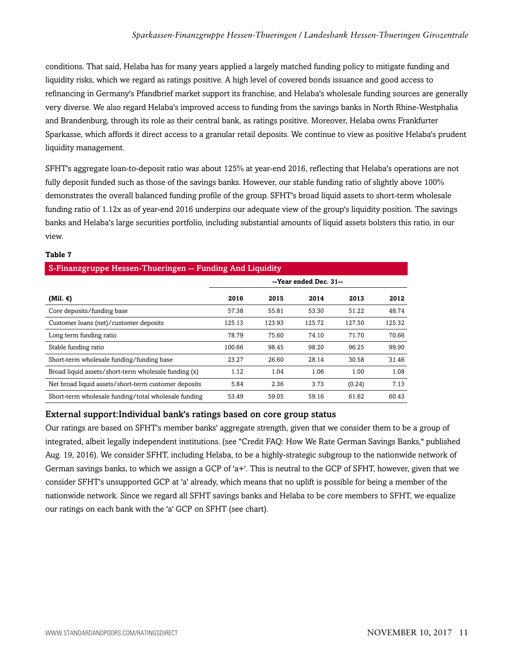conditions. That said, Helaba has for many years applied a largely matched funding policy to mitigate funding and liquidity risks, which we regard as ratings positive. A high level of covered bonds issuance and good access to refinancing in Germany's Pfandbrief market support its franchise, and Helaba's wholesale funding sources are generally very diverse. We also regard Helaba's improved access to funding from the savings banks in North Rhine-Westphalia and Brandenburg, through its role as their central bank, as ratings positive. Moreover, Helaba owns Frankfurter Sparkasse, which affords it direct access to a granular retail deposits. We continue to view as positive Helaba's prudent liquidity management.

SFHT's aggregate loan-to-deposit ratio was about 125% at year-end 2016, reflecting that Helaba's operations are not fully deposit funded such as those of the savings banks. However, our stable funding ratio of slightly above 100% demonstrates the overall balanced funding profile of the group. SFHT's broad liquid assets to short-term wholesale funding ratio of 1.12x as of year-end 2016 underpins our adequate view of the group's liquidity position. The savings banks and Helaba's large securities portfolio, including substantial amounts of liquid assets bolsters this ratio, in our view.

| S-Finanzgruppe Hessen-Thueringen -- Funding And Liquidity |                        |        |        |        |        |  |  |  |  |
|-----------------------------------------------------------|------------------------|--------|--------|--------|--------|--|--|--|--|
|                                                           | --Year ended Dec. 31-- |        |        |        |        |  |  |  |  |
| (Mil. $\epsilon$ )                                        | 2016                   | 2015   | 2014   | 2013   | 2012   |  |  |  |  |
| Core deposits/funding base                                | 57.38                  | 55.81  | 53.30  | 51.22  | 48.74  |  |  |  |  |
| Customer loans (net)/customer deposits                    | 125.13                 | 123.93 | 125.72 | 127.50 | 125.32 |  |  |  |  |
| Long term funding ratio                                   | 78.79                  | 75.60  | 74.10  | 71.70  | 70.66  |  |  |  |  |
| Stable funding ratio                                      | 100.66                 | 98.45  | 98.20  | 96.25  | 99.90  |  |  |  |  |
| Short-term wholesale funding/funding base                 | 23.27                  | 26.60  | 28.14  | 30.58  | 31.46  |  |  |  |  |
| Broad liquid assets/short-term wholesale funding (x)      | 1.12                   | 1.04   | 1.06   | 1.00   | 1.08   |  |  |  |  |
| Net broad liquid assets/short-term customer deposits      | 5.84                   | 2.36   | 3.73   | (0.24) | 7.13   |  |  |  |  |
| Short-term wholesale funding/total wholesale funding      | 53.49                  | 59.05  | 59.16  | 61.62  | 60.43  |  |  |  |  |

#### **Table 7**

#### External support:Individual bank's ratings based on core group status

Our ratings are based on SFHT's member banks' aggregate strength, given that we consider them to be a group of integrated, albeit legally independent institutions. (see "Credit FAQ: How We Rate German Savings Banks," published Aug. 19, 2016). We consider SFHT, including Helaba, to be a highly-strategic subgroup to the nationwide network of German savings banks, to which we assign a GCP of 'a+'. This is neutral to the GCP of SFHT, however, given that we consider SFHT's unsupported GCP at 'a' already, which means that no uplift is possible for being a member of the nationwide network. Since we regard all SFHT savings banks and Helaba to be core members to SFHT, we equalize our ratings on each bank with the 'a' GCP on SFHT (see chart).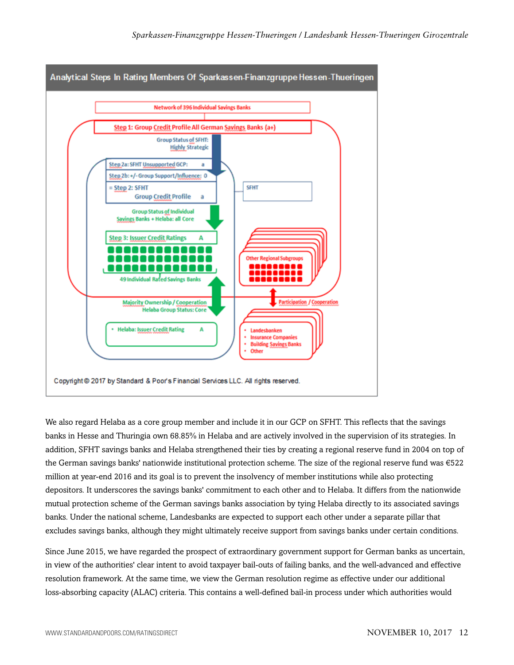

We also regard Helaba as a core group member and include it in our GCP on SFHT. This reflects that the savings banks in Hesse and Thuringia own 68.85% in Helaba and are actively involved in the supervision of its strategies. In addition, SFHT savings banks and Helaba strengthened their ties by creating a regional reserve fund in 2004 on top of the German savings banks' nationwide institutional protection scheme. The size of the regional reserve fund was €522 million at year-end 2016 and its goal is to prevent the insolvency of member institutions while also protecting depositors. It underscores the savings banks' commitment to each other and to Helaba. It differs from the nationwide mutual protection scheme of the German savings banks association by tying Helaba directly to its associated savings banks. Under the national scheme, Landesbanks are expected to support each other under a separate pillar that excludes savings banks, although they might ultimately receive support from savings banks under certain conditions.

Since June 2015, we have regarded the prospect of extraordinary government support for German banks as uncertain, in view of the authorities' clear intent to avoid taxpayer bail-outs of failing banks, and the well-advanced and effective resolution framework. At the same time, we view the German resolution regime as effective under our additional loss-absorbing capacity (ALAC) criteria. This contains a well-defined bail-in process under which authorities would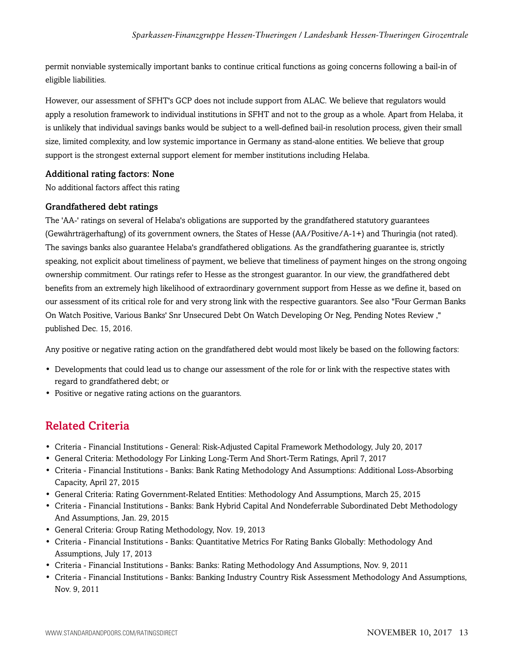permit nonviable systemically important banks to continue critical functions as going concerns following a bail-in of eligible liabilities.

However, our assessment of SFHT's GCP does not include support from ALAC. We believe that regulators would apply a resolution framework to individual institutions in SFHT and not to the group as a whole. Apart from Helaba, it is unlikely that individual savings banks would be subject to a well-defined bail-in resolution process, given their small size, limited complexity, and low systemic importance in Germany as stand-alone entities. We believe that group support is the strongest external support element for member institutions including Helaba.

#### Additional rating factors: None

No additional factors affect this rating

#### Grandfathered debt ratings

The 'AA-' ratings on several of Helaba's obligations are supported by the grandfathered statutory guarantees (Gewährträgerhaftung) of its government owners, the States of Hesse (AA/Positive/A-1+) and Thuringia (not rated). The savings banks also guarantee Helaba's grandfathered obligations. As the grandfathering guarantee is, strictly speaking, not explicit about timeliness of payment, we believe that timeliness of payment hinges on the strong ongoing ownership commitment. Our ratings refer to Hesse as the strongest guarantor. In our view, the grandfathered debt benefits from an extremely high likelihood of extraordinary government support from Hesse as we define it, based on our assessment of its critical role for and very strong link with the respective guarantors. See also "Four German Banks On Watch Positive, Various Banks' Snr Unsecured Debt On Watch Developing Or Neg, Pending Notes Review ," published Dec. 15, 2016.

Any positive or negative rating action on the grandfathered debt would most likely be based on the following factors:

- Developments that could lead us to change our assessment of the role for or link with the respective states with regard to grandfathered debt; or
- <span id="page-12-0"></span>• Positive or negative rating actions on the guarantors.

## Related Criteria

- Criteria Financial Institutions General: Risk-Adjusted Capital Framework Methodology, July 20, 2017
- General Criteria: Methodology For Linking Long-Term And Short-Term Ratings, April 7, 2017
- Criteria Financial Institutions Banks: Bank Rating Methodology And Assumptions: Additional Loss-Absorbing Capacity, April 27, 2015
- General Criteria: Rating Government-Related Entities: Methodology And Assumptions, March 25, 2015
- Criteria Financial Institutions Banks: Bank Hybrid Capital And Nondeferrable Subordinated Debt Methodology And Assumptions, Jan. 29, 2015
- General Criteria: Group Rating Methodology, Nov. 19, 2013
- Criteria Financial Institutions Banks: Quantitative Metrics For Rating Banks Globally: Methodology And Assumptions, July 17, 2013
- Criteria Financial Institutions Banks: Banks: Rating Methodology And Assumptions, Nov. 9, 2011
- Criteria Financial Institutions Banks: Banking Industry Country Risk Assessment Methodology And Assumptions, Nov. 9, 2011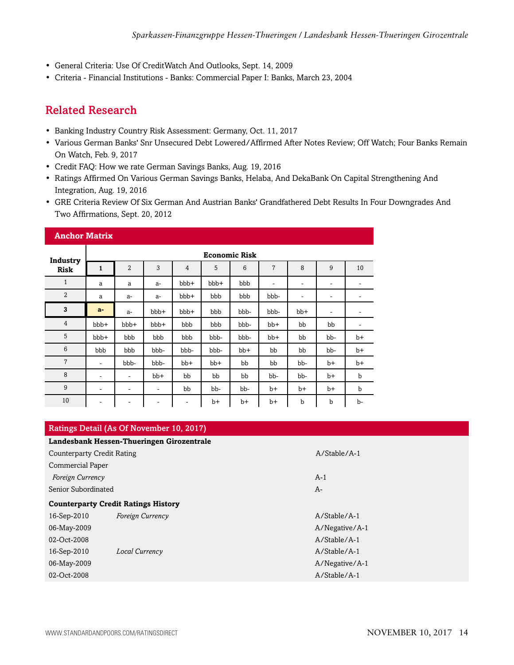- General Criteria: Use Of CreditWatch And Outlooks, Sept. 14, 2009
- <span id="page-13-0"></span>• Criteria - Financial Institutions - Banks: Commercial Paper I: Banks, March 23, 2004

## Related Research

- Banking Industry Country Risk Assessment: Germany, Oct. 11, 2017
- Various German Banks' Snr Unsecured Debt Lowered/Affirmed After Notes Review; Off Watch; Four Banks Remain On Watch, Feb. 9, 2017
- Credit FAQ: How we rate German Savings Banks, Aug. 19, 2016
- Ratings Affirmed On Various German Savings Banks, Helaba, And DekaBank On Capital Strengthening And Integration, Aug. 19, 2016
- GRE Criteria Review Of Six German And Austrian Banks' Grandfathered Debt Results In Four Downgrades And Two Affirmations, Sept. 20, 2012

| <b>Anchor Matrix</b> |              |                      |       |                |       |       |                              |       |      |      |
|----------------------|--------------|----------------------|-------|----------------|-------|-------|------------------------------|-------|------|------|
| Industry             |              | <b>Economic Risk</b> |       |                |       |       |                              |       |      |      |
| <b>Risk</b>          | $\mathbf{1}$ | $\overline{2}$       | 3     | $\overline{4}$ | 5     | 6     | 7                            | 8     | 9    | 10   |
| $\mathbf{1}$         | a            | a                    | $a-$  | bbb+           | bbb+  | bbb   | $\qquad \qquad \blacksquare$ | ٠     | ۰    |      |
| $\overline{2}$       | a            | $a-$                 | $a-$  | bbb+           | bbb   | bbb   | bbb-                         |       | ۰    |      |
| 3                    | $a-$         | $a-$                 | bbb+  | bbb+           | bbb   | bbb-  | bbb-                         | $bb+$ | ٠    |      |
| $\overline{4}$       | bbb+         | bbb+                 | bbb+  | bbb            | bbb   | bbb-  | $bb+$                        | bb    | bb   |      |
| 5                    | bbb+         | bbb                  | bbb   | bbb            | bbb-  | bbb-  | bb+                          | bb    | bb-  | $b+$ |
| 6                    | bbb          | bbb                  | bbb-  | bbb-           | bbb-  | $bb+$ | bb                           | bb    | bb-  | $b+$ |
| $\overline{7}$       | ۰            | bbb-                 | bbb-  | $bb+$          | $bb+$ | bb    | bb                           | bb-   | $b+$ | $b+$ |
| 8                    | -            | $\qquad \qquad -$    | $bb+$ | bb             | bb    | bb    | bb-                          | bb-   | $b+$ | b    |
| 9                    | ۰            | ۰                    | ۰     | bb             | bb-   | bb-   | $b+$                         | $b+$  | $b+$ | b    |
| 10                   | ۰            | ۰                    | ۰     | ۰              | b+    | $b+$  | b+                           | b     | b    | b-   |

| Ratings Detail (As Of November 10, 2017)  |                                            |                |  |  |  |  |  |
|-------------------------------------------|--------------------------------------------|----------------|--|--|--|--|--|
| Landesbank Hessen-Thueringen Girozentrale |                                            |                |  |  |  |  |  |
| <b>Counterparty Credit Rating</b>         |                                            | $A/Stable/A-1$ |  |  |  |  |  |
| <b>Commercial Paper</b>                   |                                            |                |  |  |  |  |  |
| Foreign Currency                          |                                            | $A-1$          |  |  |  |  |  |
| Senior Subordinated                       |                                            | A-             |  |  |  |  |  |
|                                           | <b>Counterparty Credit Ratings History</b> |                |  |  |  |  |  |
| 16-Sep-2010                               | Foreign Currency                           | $A/Stable/A-1$ |  |  |  |  |  |
| 06-May-2009                               |                                            | A/Negative/A-1 |  |  |  |  |  |
| 02-Oct-2008                               |                                            | $A/Stable/A-1$ |  |  |  |  |  |
| 16-Sep-2010                               | Local Currency                             | $A/Stable/A-1$ |  |  |  |  |  |
| 06-May-2009                               |                                            | A/Negative/A-1 |  |  |  |  |  |
| 02-Oct-2008                               |                                            | A/Stable/A-1   |  |  |  |  |  |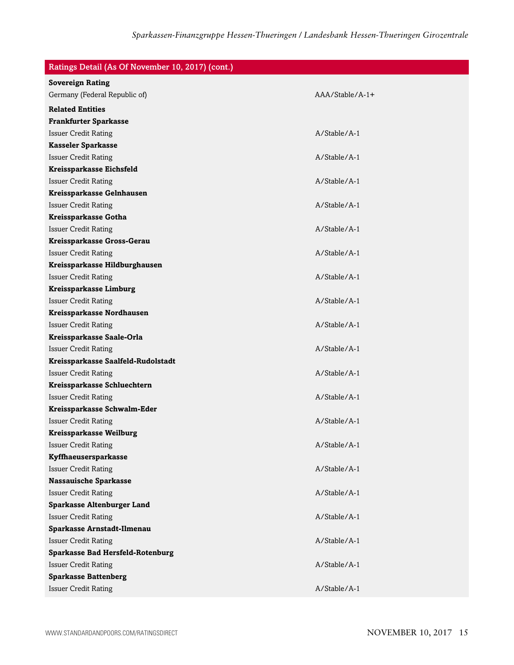| Ratings Detail (As Of November 10, 2017) (cont.) |                 |
|--------------------------------------------------|-----------------|
| <b>Sovereign Rating</b>                          |                 |
| Germany (Federal Republic of)                    | AAA/Stable/A-1+ |
| <b>Related Entities</b>                          |                 |
| <b>Frankfurter Sparkasse</b>                     |                 |
| <b>Issuer Credit Rating</b>                      | A/Stable/A-1    |
| <b>Kasseler Sparkasse</b>                        |                 |
| <b>Issuer Credit Rating</b>                      | $A/Stable/A-1$  |
| Kreissparkasse Eichsfeld                         |                 |
| <b>Issuer Credit Rating</b>                      | A/Stable/A-1    |
| Kreissparkasse Gelnhausen                        |                 |
| <b>Issuer Credit Rating</b>                      | A/Stable/A-1    |
| Kreissparkasse Gotha                             |                 |
| <b>Issuer Credit Rating</b>                      | A/Stable/A-1    |
| Kreissparkasse Gross-Gerau                       |                 |
| <b>Issuer Credit Rating</b>                      | A/Stable/A-1    |
| Kreissparkasse Hildburghausen                    |                 |
| <b>Issuer Credit Rating</b>                      | $A/Stable/A-1$  |
| Kreissparkasse Limburg                           |                 |
| <b>Issuer Credit Rating</b>                      | A/Stable/A-1    |
| Kreissparkasse Nordhausen                        |                 |
| <b>Issuer Credit Rating</b>                      | A/Stable/A-1    |
| Kreissparkasse Saale-Orla                        |                 |
| <b>Issuer Credit Rating</b>                      | A/Stable/A-1    |
| Kreissparkasse Saalfeld-Rudolstadt               |                 |
| <b>Issuer Credit Rating</b>                      | A/Stable/A-1    |
| Kreissparkasse Schluechtern                      |                 |
| <b>Issuer Credit Rating</b>                      | A/Stable/A-1    |
| Kreissparkasse Schwalm-Eder                      |                 |
| <b>Issuer Credit Rating</b>                      | A/Stable/A-1    |
| Kreissparkasse Weilburg                          |                 |
| <b>Issuer Credit Rating</b>                      | A/Stable/A-1    |
| Kyffhaeusersparkasse                             |                 |
| <b>Issuer Credit Rating</b>                      | A/Stable/A-1    |
| <b>Nassauische Sparkasse</b>                     |                 |
| <b>Issuer Credit Rating</b>                      | A/Stable/A-1    |
| <b>Sparkasse Altenburger Land</b>                |                 |
| <b>Issuer Credit Rating</b>                      | A/Stable/A-1    |
| Sparkasse Arnstadt-Ilmenau                       |                 |
| <b>Issuer Credit Rating</b>                      | A/Stable/A-1    |
| <b>Sparkasse Bad Hersfeld-Rotenburg</b>          |                 |
| <b>Issuer Credit Rating</b>                      | A/Stable/A-1    |
| <b>Sparkasse Battenberg</b>                      |                 |
| <b>Issuer Credit Rating</b>                      | A/Stable/A-1    |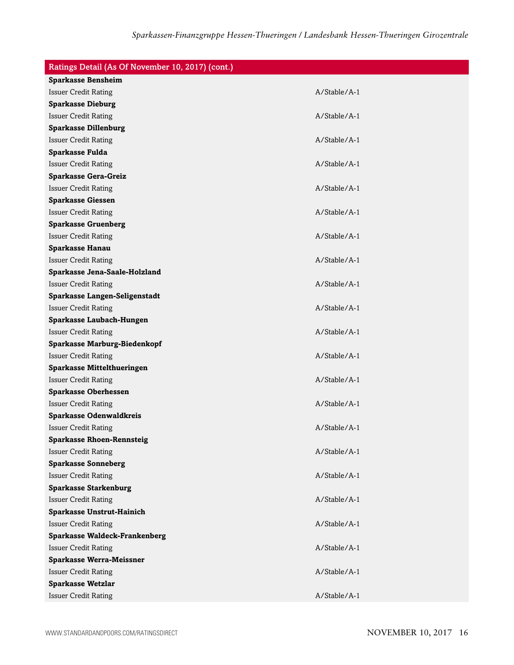| Ratings Detail (As Of November 10, 2017) (cont.) |                |
|--------------------------------------------------|----------------|
| <b>Sparkasse Bensheim</b>                        |                |
| <b>Issuer Credit Rating</b>                      | A/Stable/A-1   |
| <b>Sparkasse Dieburg</b>                         |                |
| <b>Issuer Credit Rating</b>                      | A/Stable/A-1   |
| <b>Sparkasse Dillenburg</b>                      |                |
| <b>Issuer Credit Rating</b>                      | A/Stable/A-1   |
| Sparkasse Fulda                                  |                |
| <b>Issuer Credit Rating</b>                      | $A/Stable/A-1$ |
| <b>Sparkasse Gera-Greiz</b>                      |                |
| <b>Issuer Credit Rating</b>                      | A/Stable/A-1   |
| <b>Sparkasse Giessen</b>                         |                |
| <b>Issuer Credit Rating</b>                      | A/Stable/A-1   |
| <b>Sparkasse Gruenberg</b>                       |                |
| <b>Issuer Credit Rating</b>                      | A/Stable/A-1   |
| <b>Sparkasse Hanau</b>                           |                |
| <b>Issuer Credit Rating</b>                      | A/Stable/A-1   |
| Sparkasse Jena-Saale-Holzland                    |                |
| <b>Issuer Credit Rating</b>                      | A/Stable/A-1   |
| Sparkasse Langen-Seligenstadt                    |                |
| <b>Issuer Credit Rating</b>                      | A/Stable/A-1   |
| Sparkasse Laubach-Hungen                         |                |
| <b>Issuer Credit Rating</b>                      | A/Stable/A-1   |
| Sparkasse Marburg-Biedenkopf                     |                |
| <b>Issuer Credit Rating</b>                      | A/Stable/A-1   |
| <b>Sparkasse Mittelthueringen</b>                |                |
| <b>Issuer Credit Rating</b>                      | A/Stable/A-1   |
| <b>Sparkasse Oberhessen</b>                      |                |
| <b>Issuer Credit Rating</b>                      | A/Stable/A-1   |
| <b>Sparkasse Odenwaldkreis</b>                   |                |
| <b>Issuer Credit Rating</b>                      | A/Stable/A-1   |
| <b>Sparkasse Rhoen-Rennsteig</b>                 |                |
| <b>Issuer Credit Rating</b>                      | A/Stable/A-1   |
| <b>Sparkasse Sonneberg</b>                       |                |
| <b>Issuer Credit Rating</b>                      | A/Stable/A-1   |
| <b>Sparkasse Starkenburg</b>                     |                |
| <b>Issuer Credit Rating</b>                      | A/Stable/A-1   |
| <b>Sparkasse Unstrut-Hainich</b>                 |                |
| <b>Issuer Credit Rating</b>                      | A/Stable/A-1   |
| <b>Sparkasse Waldeck-Frankenberg</b>             |                |
| <b>Issuer Credit Rating</b>                      | A/Stable/A-1   |
| <b>Sparkasse Werra-Meissner</b>                  |                |
| <b>Issuer Credit Rating</b>                      | A/Stable/A-1   |
| <b>Sparkasse Wetzlar</b>                         |                |
| <b>Issuer Credit Rating</b>                      | A/Stable/A-1   |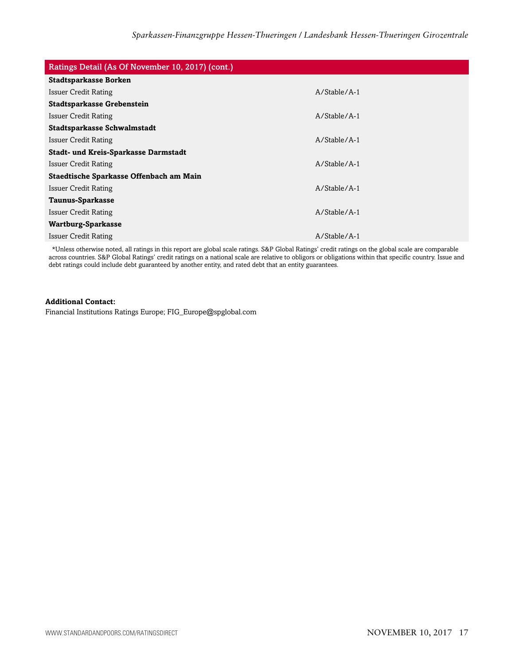| Ratings Detail (As Of November 10, 2017) (cont.) |                |  |
|--------------------------------------------------|----------------|--|
| <b>Stadtsparkasse Borken</b>                     |                |  |
| Issuer Credit Rating                             | $A/Stable/A-1$ |  |
| <b>Stadtsparkasse Grebenstein</b>                |                |  |
| Issuer Credit Rating                             | $A/Stable/A-1$ |  |
| Stadtsparkasse Schwalmstadt                      |                |  |
| Issuer Credit Rating                             | $A/Stable/A-1$ |  |
| <b>Stadt- und Kreis-Sparkasse Darmstadt</b>      |                |  |
| Issuer Credit Rating                             | $A/Stable/A-1$ |  |
| Staedtische Sparkasse Offenbach am Main          |                |  |
| <b>Issuer Credit Rating</b>                      | $A/Stable/A-1$ |  |
| Taunus-Sparkasse                                 |                |  |
| <b>Issuer Credit Rating</b>                      | $A/Stable/A-1$ |  |
| Wartburg-Sparkasse                               |                |  |
| <b>Issuer Credit Rating</b>                      | $A/Stable/A-1$ |  |

\*Unless otherwise noted, all ratings in this report are global scale ratings. S&P Global Ratings' credit ratings on the global scale are comparable across countries. S&P Global Ratings' credit ratings on a national scale are relative to obligors or obligations within that specific country. Issue and debt ratings could include debt guaranteed by another entity, and rated debt that an entity guarantees.

#### **Additional Contact:**

Financial Institutions Ratings Europe; FIG\_Europe@spglobal.com